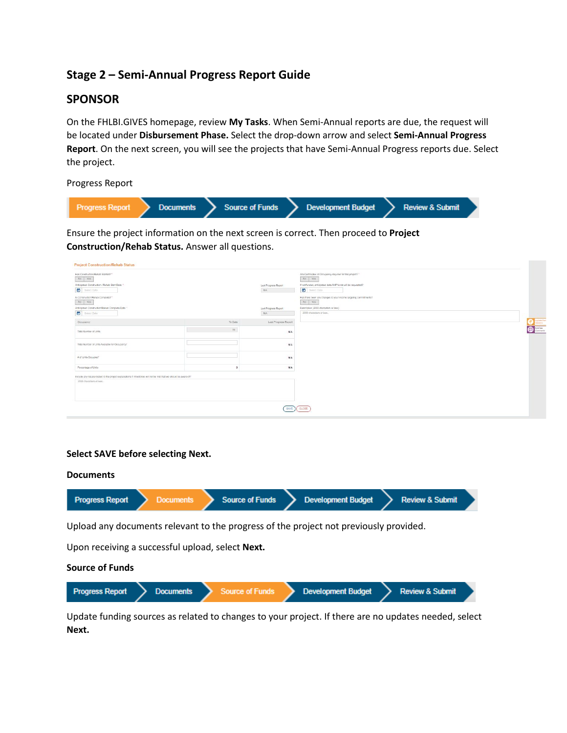# **Stage 2 – Semi-Annual Progress Report Guide**

# **SPONSOR**

On the FHLBI.GIVES homepage, review **My Tasks**. When Semi-Annual reports are due, the request will be located under **Disbursement Phase.** Select the drop-down arrow and select **Semi-Annual Progress Report**. On the next screen, you will see the projects that have Semi-Annual Progress reports due. Select the project.

Progress Report

| Documents > Source of Funds > Development Budget<br>> Review & Submit<br>l Progress Report |
|--------------------------------------------------------------------------------------------|
|--------------------------------------------------------------------------------------------|

Ensure the project information on the next screen is correct. Then proceed to **Project Construction/Rehab Status.** Answer all questions.

| Has Construction/Rehab Started?"<br>No Yes                                                                       |         |                      | Are Certificates of Occupancy required for this project?"<br>No Yes |
|------------------------------------------------------------------------------------------------------------------|---------|----------------------|---------------------------------------------------------------------|
| Anticipated Construction / Rehab Start Date: 1                                                                   |         | Last Prograss Report | If not funded, anticipated date AHP funds will be requested?        |
| $\blacksquare$<br>Select Date                                                                                    |         | NA                   | $\Box$ Select Date                                                  |
| Is Construction/Rehab Complete?"                                                                                 |         |                      | Has there been any changes to your income targeting commitments?    |
| $\begin{tabular}{ c c c c } \hline & No & Yes \\ \hline \end{tabular}$                                           |         |                      | $\mathsf{No} \parallel \mathsf{Yes}$                                |
| Anticipated Construction/Rehab Complete Date: "                                                                  |         | Last Prograss Report | Description (2000 characters or less)                               |
| $\blacksquare$<br>Song Date                                                                                      |         | NIA                  | 2000 characters or less.                                            |
| Occupancy                                                                                                        | To Date | Last Progress Report |                                                                     |
| Total Number of Units                                                                                            | 压       | NíA                  |                                                                     |
| Total Number of Units Available for Occupancy"                                                                   |         | NA                   |                                                                     |
| # of Units Occupied"                                                                                             |         | N/A                  |                                                                     |
| Percentage of Units                                                                                              |         | N/A                  |                                                                     |
| Include any issues related to the project explanations if milestones will not be met that we should be aware of? |         |                      |                                                                     |
| 2000 characters or less.                                                                                         |         |                      |                                                                     |
|                                                                                                                  |         |                      |                                                                     |
|                                                                                                                  |         |                      |                                                                     |
|                                                                                                                  |         |                      |                                                                     |

## **Select SAVE before selecting Next.**

#### **Documents**



Upload any documents relevant to the progress of the project not previously provided.

Upon receiving a successful upload, select **Next.**

## **Source of Funds**



Update funding sources as related to changes to your project. If there are no updates needed, select **Next.**